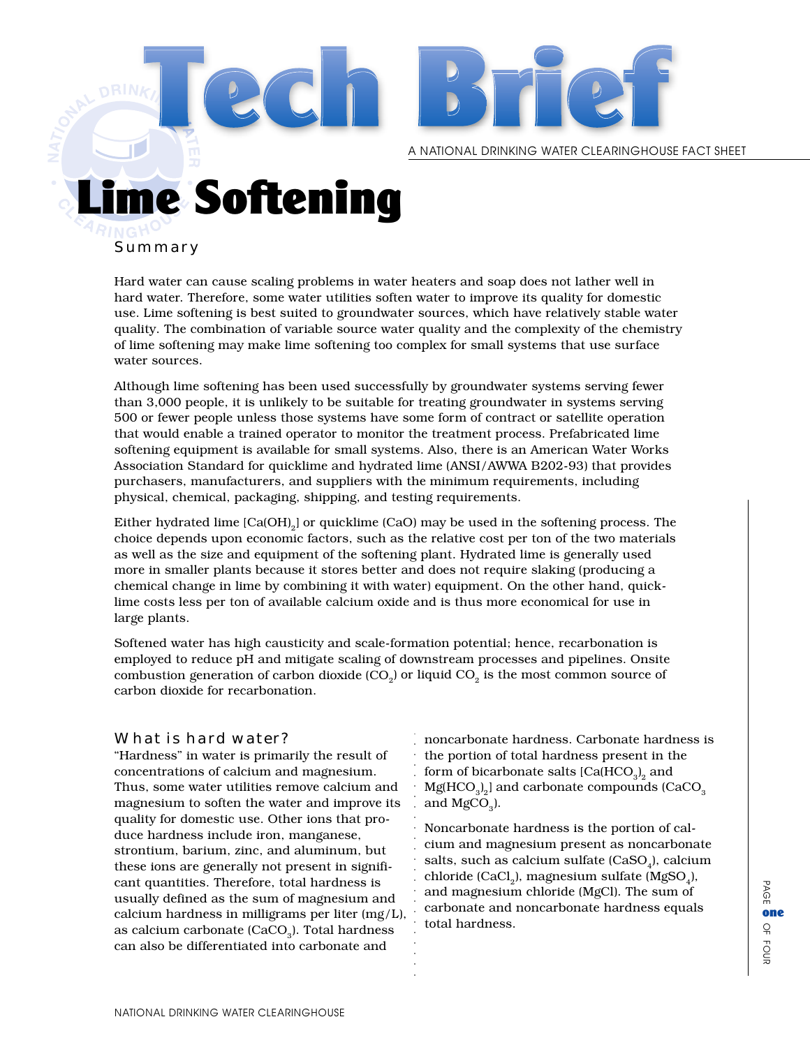A NATIONAL DRINKING WATER CLEARINGHOUSE FACT SHEET

# me Softening

#### Summary

Hard water can cause scaling problems in water heaters and soap does not lather well in hard water. Therefore, some water utilities soften water to improve its quality for domestic use. Lime softening is best suited to groundwater sources, which have relatively stable water quality. The combination of variable source water quality and the complexity of the chemistry of lime softening may make lime softening too complex for small systems that use surface water sources.

aaaaaaaaaaaa Although lime softening has been used successfully by groundwater systems serving fewer than 3,000 people, it is unlikely to be suitable for treating groundwater in systems serving 500 or fewer people unless those systems have some form of contract or satellite operation that would enable a trained operator to monitor the treatment process. Prefabricated lime softening equipment is available for small systems. Also, there is an American Water Works Association Standard for quicklime and hydrated lime (ANSI/AWWA B202-93) that provides purchasers, manufacturers, and suppliers with the minimum requirements, including physical, chemical, packaging, shipping, and testing requirements.

Either hydrated lime  $[Ca(OH)]$  or quicklime  $(CaO)$  may be used in the softening process. The choice depends upon economic factors, such as the relative cost per ton of the two materials as well as the size and equipment of the softening plant. Hydrated lime is generally used more in smaller plants because it stores better and does not require slaking (producing a chemical change in lime by combining it with water) equipment. On the other hand, quicklime costs less per ton of available calcium oxide and is thus more economical for use in large plants.

Softened water has high causticity and scale-formation potential; hence, recarbonation is employed to reduce pH and mitigate scaling of downstream processes and pipelines. Onsite combustion generation of carbon dioxide  $(CO<sub>2</sub>)$  or liquid  $CO<sub>2</sub>$  is the most common source of carbon dioxide for recarbonation.

#### What is hard water?

"Hardness" in water is primarily the result of concentrations of calcium and magnesium. Thus, some water utilities remove calcium and magnesium to soften the water and improve its quality for domestic use. Other ions that produce hardness include iron, manganese, strontium, barium, zinc, and aluminum, but these ions are generally not present in significant quantities. Therefore, total hardness is usually defined as the sum of magnesium and calcium hardness in milligrams per liter (mg/L), as calcium carbonate (CaCO<sub>2</sub>). Total hardness can also be differentiated into carbonate and

noncarbonate hardness. Carbonate hardness is the portion of total hardness present in the form of bicarbonate salts [Ca(HCO $_{\rm 3})_{\rm 2}$  and  $\rm Mg(HCO^{-3}_3)_2$  and carbonate compounds (CaCO $_3$ and  $MgCO<sub>a</sub>$ ).

the relative cost per ton of the two materials<br>
g plant. Hydrated lime is generally used<br>
does not require slaking (producing a<br>
er) equipment. On the other hand, quick-<br>
and is thus more economical for use in<br>
aation pot Noncarbonate hardness is the portion of calcium and magnesium present as noncarbonate salts, such as calcium sulfate (CaSO,), calcium chloride (CaCl<sub>2</sub>), magnesium sulfate (MgSO<sub>4</sub>), and magnesium chloride (MgCl). The sum of carbonate and noncarbonate hardness equals total hardness.

PAGE OF FOUR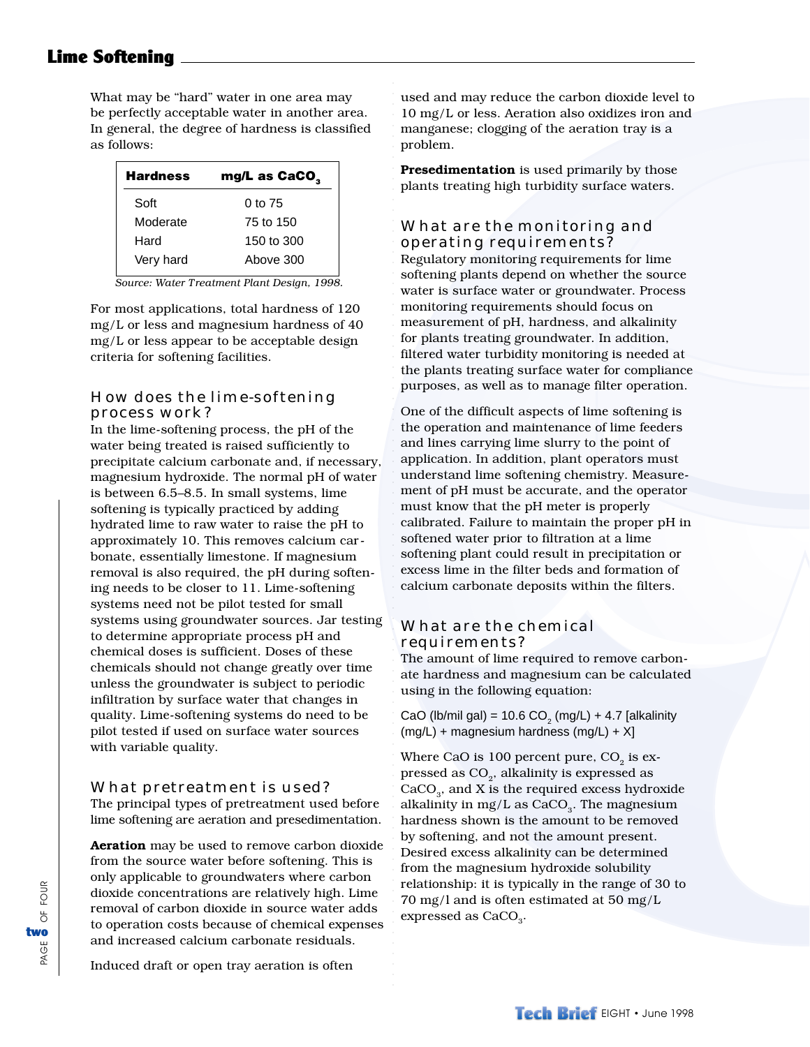# Lime Softening

What may be "hard" water in one area may be perfectly acceptable water in another area. In general, the degree of hardness is classified as follows:

| <b>Hardness</b> | mg/L as CaCO <sub>3</sub> |
|-----------------|---------------------------|
| Soft            | $0$ to 75                 |
| Moderate        | 75 to 150                 |
| Hard            | 150 to 300                |
| Very hard       | Above 300                 |

*Source: Water Treatment Plant Design, 1998.*

For most applications, total hardness of 120 mg/L or less and magnesium hardness of 40 mg/L or less appear to be acceptable design criteria for softening facilities.

### How does the lime-softening process work?

In the lime-softening process, the pH of the water being treated is raised sufficiently to precipitate calcium carbonate and, if necessary, magnesium hydroxide. The normal pH of water is between 6.5–8.5. In small systems, lime softening is typically practiced by adding hydrated lime to raw water to raise the pH to approximately 10. This removes calcium carbonate, essentially limestone. If magnesium removal is also required, the pH during softening needs to be closer to 11. Lime-softening systems need not be pilot tested for small systems using groundwater sources. Jar testing to determine appropriate process pH and chemical doses is sufficient. Doses of these chemicals should not change greatly over time unless the groundwater is subject to periodic infiltration by surface water that changes in quality. Lime-softening systems do need to be pilot tested if used on surface water sources with variable quality.

#### What pretreatment is used?

The principal types of pretreatment used before lime softening are aeration and presedimentation.

**Aeration** may be used to remove carbon dioxide from the source water before softening. This is only applicable to groundwaters where carbon dioxide concentrations are relatively high. Lime removal of carbon dioxide in source water adds to operation costs because of chemical expenses and increased calcium carbonate residuals.

used and may reduce the carbon dioxide level to 10 mg/L or less. Aeration also oxidizes iron and manganese; clogging of the aeration tray is a problem.

.<br>.<br>.<br>.<br>.<br>.

aaaaaaaaaaaaaaaaaaaaaaaaaaaaaaaaaaaaaaaaaaaaaaaaaaaaaaaaaaaaaaaaaaaaaaaaaaaaaaa

**Presedimentation** is used primarily by those plants treating high turbidity surface waters.

# What are the monitoring and operating requirements?

Regulatory monitoring requirements for lime softening plants depend on whether the source water is surface water or groundwater. Process monitoring requirements should focus on measurement of pH, hardness, and alkalinity for plants treating groundwater. In addition, filtered water turbidity monitoring is needed at the plants treating surface water for compliance purposes, as well as to manage filter operation.

One of the difficult aspects of lime softening is the operation and maintenance of lime feeders and lines carrying lime slurry to the point of application. In addition, plant operators must understand lime softening chemistry. Measurement of pH must be accurate, and the operator must know that the pH meter is properly calibrated. Failure to maintain the proper pH in softened water prior to filtration at a lime softening plant could result in precipitation or excess lime in the filter beds and formation of calcium carbonate deposits within the filters.

#### What are the chemical requirements?

The amount of lime required to remove carbonate hardness and magnesium can be calculated using in the following equation:

CaO (lb/mil gal) = 10.6 CO $_2$  (mg/L) + 4.7 [alkalinity (mg/L) + magnesium hardness (mg/L) + X]

Where CaO is 100 percent pure,  $CO<sub>2</sub>$  is expressed as  $CO<sub>2</sub>$ , alkalinity is expressed as  $CaCO<sub>3</sub>$ , and X is the required excess hydroxide alkalinity in mg/L as  $CaCO<sub>3</sub>$ . The magnesium hardness shown is the amount to be removed by softening, and not the amount present. Desired excess alkalinity can be determined from the magnesium hydroxide solubility relationship: it is typically in the range of 30 to 70 mg/l and is often estimated at 50 mg/L expressed as  $CaCO<sub>3</sub>$ .

Induced draft or open tray aeration is often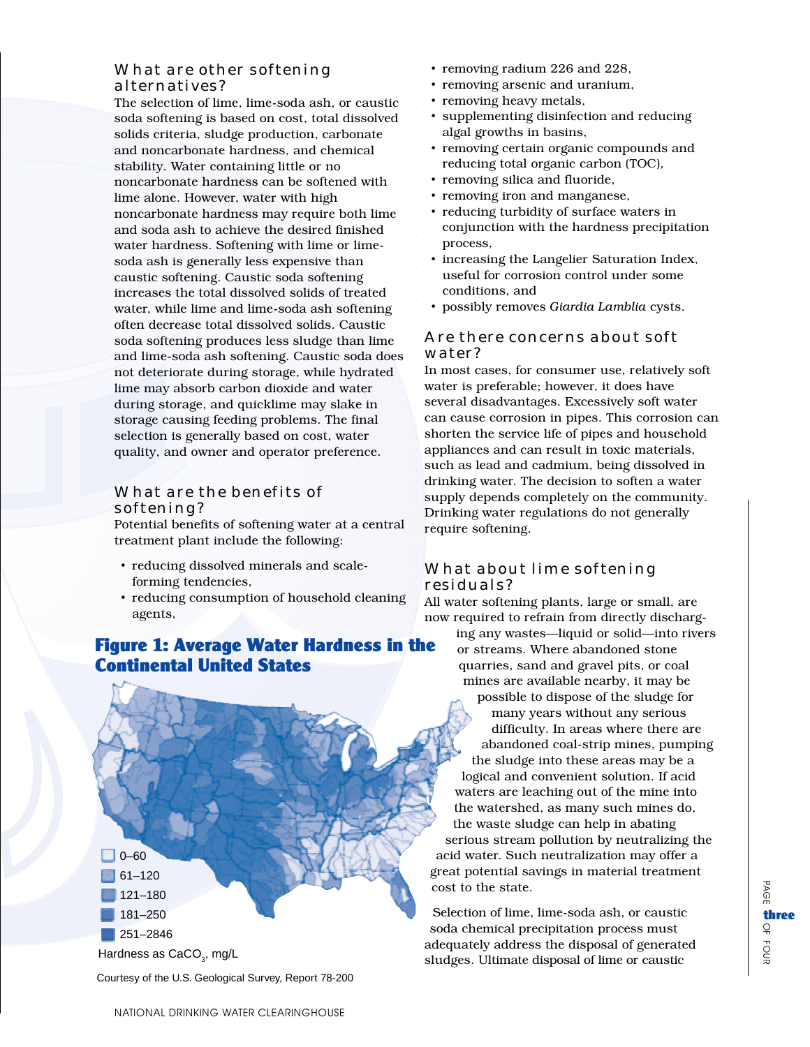## What are other softening alternatives?

The selection of lime, lime-soda ash, or caustic soda softening is based on cost, total dissolved solids criteria, sludge production, carbonate and noncarbonate hardness, and chemical stability. Water containing little or no noncarbonate hardness can be softened with lime alone. However, water with high noncarbonate hardness may require both lime and soda ash to achieve the desired finished water hardness. Softening with lime or limesoda ash is generally less expensive than caustic softening. Caustic soda softening increases the total dissolved solids of treated water, while lime and lime-soda ash softening often decrease total dissolved solids. Caustic soda softening produces less sludge than lime and lime-soda ash softening. Caustic soda does not deteriorate during storage, while hydrated lime may absorb carbon dioxide and water during storage, and quicklime may slake in storage causing feeding problems. The final selection is generally based on cost, water quality, and owner and operator preference.

# What are the benefits of softening?

Potential benefits of softening water at a central treatment plant include the following:

- reducing dissolved minerals and scaleforming tendencies,
- reducing consumption of household cleaning agents,

# Figure 1: Average Water Hardness in the Continental United States



Courtesy of the U.S. Geological Survey, Report 78-200

- removing radium 226 and 228,
- removing arsenic and uranium,
- removing heavy metals,

aaaaaaaa

aaaaaaaaaaaaaaaaaaaaaaaaaaaaaaaaaaaaaaaaaaaaa

- supplementing disinfection and reducing algal growths in basins,
- removing certain organic compounds and reducing total organic carbon (TOC),
- removing silica and fluoride,
- removing iron and manganese,
- reducing turbidity of surface waters in conjunction with the hardness precipitation process,
- increasing the Langelier Saturation Index, useful for corrosion control under some conditions, and
- possibly removes *Giardia Lamblia* cysts.

#### Are there concerns about soft water?

In most cases, for consumer use, relatively soft water is preferable; however, it does have several disadvantages. Excessively soft water can cause corrosion in pipes. This corrosion can shorten the service life of pipes and household appliances and can result in toxic materials, such as lead and cadmium, being dissolved in drinking water. The decision to soften a water supply depends completely on the community. Drinking water regulations do not generally require softening.

# What about lime softening residuals?

All water softening plants, large or small, are now required to refrain from directly discharging any wastes—liquid or solid—into rivers or streams. Where abandoned stone quarries, sand and gravel pits, or coal mines are available nearby, it may be possible to dispose of the sludge for many years without any serious difficulty. In areas where there are abandoned coal-strip mines, pumping the sludge into these areas may be a logical and convenient solution. If acid waters are leaching out of the mine into the watershed, as many such mines do, the waste sludge can help in abating serious stream pollution by neutralizing the acid water. Such neutralization may offer a great potential savings in material treatment cost to the state.

Selection of lime, lime-soda ash, or caustic soda chemical precipitation process must adequately address the disposal of generated sludges. Ultimate disposal of lime or caustic